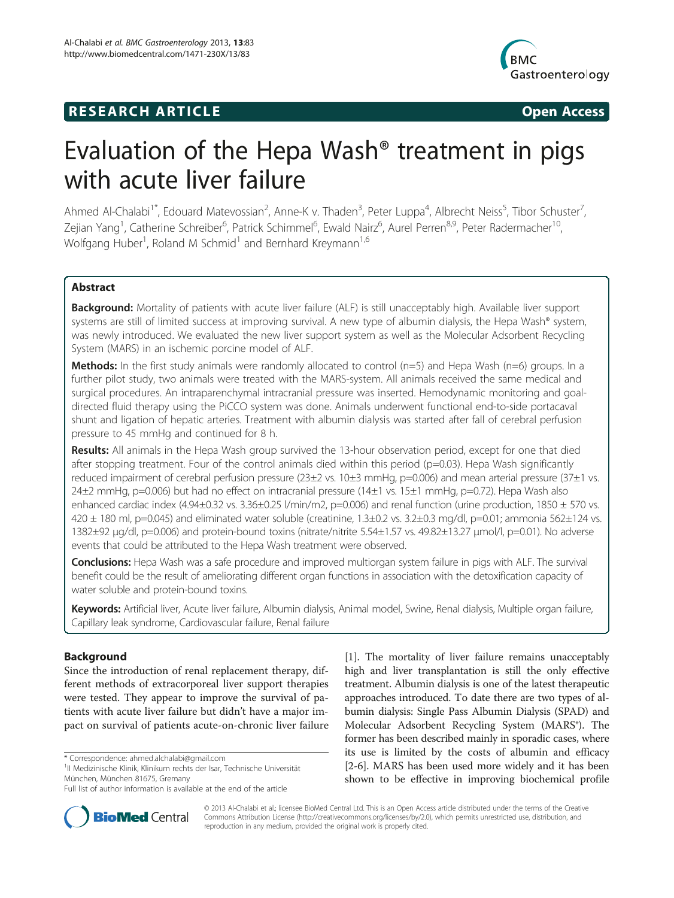## **RESEARCH ARTICLE Example 2014 CONSIDERING CONSIDERING CONSIDERING CONSIDERING CONSIDERING CONSIDERING CONSIDERING CONSIDERING CONSIDERING CONSIDERING CONSIDERING CONSIDERING CONSIDERING CONSIDERING CONSIDERING CONSIDE**



# Evaluation of the Hepa Wash® treatment in pigs with acute liver failure

Ahmed Al-Chalabi<sup>1\*</sup>, Edouard Matevossian<sup>2</sup>, Anne-K v. Thaden<sup>3</sup>, Peter Luppa<sup>4</sup>, Albrecht Neiss<sup>5</sup>, Tibor Schuster<sup>7</sup> , Zejian Yang<sup>1</sup>, Catherine Schreiber<sup>6</sup>, Patrick Schimmel<sup>6</sup>, Ewald Nairz<sup>6</sup>, Aurel Perren<sup>8,9</sup>, Peter Radermacher<sup>10</sup>, Wolfgang Huber<sup>1</sup>, Roland M Schmid<sup>1</sup> and Bernhard Kreymann<sup>1,6</sup>

## Abstract

Background: Mortality of patients with acute liver failure (ALF) is still unacceptably high. Available liver support systems are still of limited success at improving survival. A new type of albumin dialysis, the Hepa Wash® system, was newly introduced. We evaluated the new liver support system as well as the Molecular Adsorbent Recycling System (MARS) in an ischemic porcine model of ALF.

**Methods:** In the first study animals were randomly allocated to control ( $n=5$ ) and Hepa Wash ( $n=6$ ) groups. In a further pilot study, two animals were treated with the MARS-system. All animals received the same medical and surgical procedures. An intraparenchymal intracranial pressure was inserted. Hemodynamic monitoring and goaldirected fluid therapy using the PiCCO system was done. Animals underwent functional end-to-side portacaval shunt and ligation of hepatic arteries. Treatment with albumin dialysis was started after fall of cerebral perfusion pressure to 45 mmHg and continued for 8 h.

Results: All animals in the Hepa Wash group survived the 13-hour observation period, except for one that died after stopping treatment. Four of the control animals died within this period (p=0.03). Hepa Wash significantly reduced impairment of cerebral perfusion pressure (23±2 vs. 10±3 mmHg, p=0.006) and mean arterial pressure (37±1 vs. 24±2 mmHg, p=0.006) but had no effect on intracranial pressure (14±1 vs. 15±1 mmHg, p=0.72). Hepa Wash also enhanced cardiac index  $(4.94\pm0.32 \text{ vs. } 3.36\pm0.25 \text{ /min/m2}, p=0.006)$  and renal function (urine production, 1850  $\pm$  570 vs. 420 ± 180 ml, p=0.045) and eliminated water soluble (creatinine, 1.3±0.2 vs. 3.2±0.3 mg/dl, p=0.01; ammonia 562±124 vs. 1382±92 μg/dl, p=0.006) and protein-bound toxins (nitrate/nitrite 5.54±1.57 vs. 49.82±13.27 μmol/l, p=0.01). No adverse events that could be attributed to the Hepa Wash treatment were observed.

**Conclusions:** Hepa Wash was a safe procedure and improved multiorgan system failure in pigs with ALF. The survival benefit could be the result of ameliorating different organ functions in association with the detoxification capacity of water soluble and protein-bound toxins.

Keywords: Artificial liver, Acute liver failure, Albumin dialysis, Animal model, Swine, Renal dialysis, Multiple organ failure, Capillary leak syndrome, Cardiovascular failure, Renal failure

## Background

Since the introduction of renal replacement therapy, different methods of extracorporeal liver support therapies were tested. They appear to improve the survival of patients with acute liver failure but didn't have a major impact on survival of patients acute-on-chronic liver failure

<sup>1</sup>II Medizinische Klinik, Klinikum rechts der Isar, Technische Universität München, München 81675, Gremany

[[1\]](#page-8-0). The mortality of liver failure remains unacceptably high and liver transplantation is still the only effective treatment. Albumin dialysis is one of the latest therapeutic approaches introduced. To date there are two types of albumin dialysis: Single Pass Albumin Dialysis (SPAD) and Molecular Adsorbent Recycling System (MARS®). The former has been described mainly in sporadic cases, where its use is limited by the costs of albumin and efficacy [[2-6](#page-8-0)]. MARS has been used more widely and it has been shown to be effective in improving biochemical profile



© 2013 Al-Chalabi et al.; licensee BioMed Central Ltd. This is an Open Access article distributed under the terms of the Creative Commons Attribution License [\(http://creativecommons.org/licenses/by/2.0\)](http://creativecommons.org/licenses/by/2.0), which permits unrestricted use, distribution, and reproduction in any medium, provided the original work is properly cited.

<sup>\*</sup> Correspondence: [ahmed.alchalabi@gmail.com](mailto:ahmed.alchalabi@gmail.com) <sup>1</sup>

Full list of author information is available at the end of the article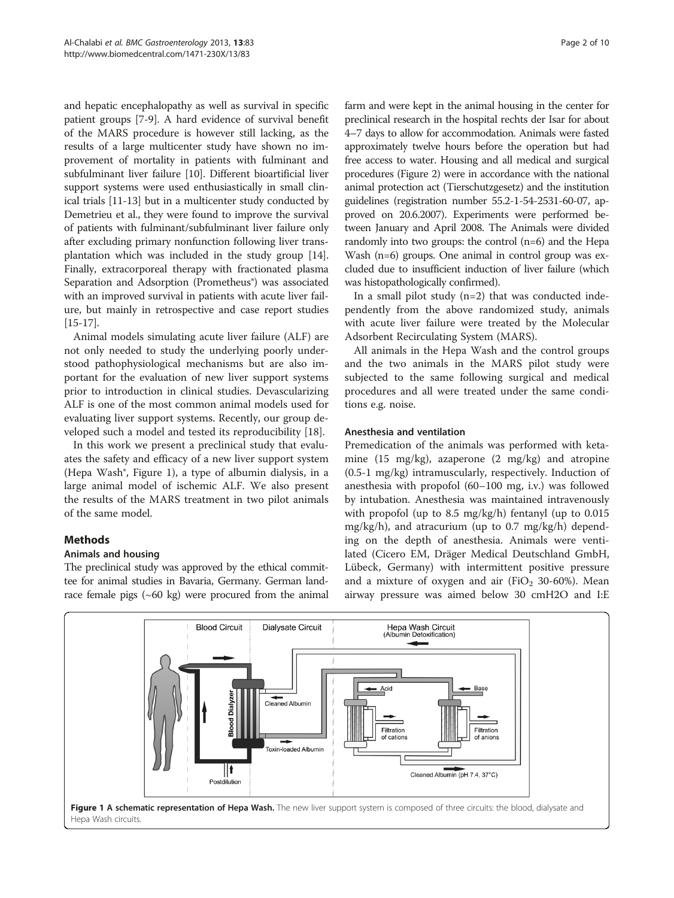<span id="page-1-0"></span>and hepatic encephalopathy as well as survival in specific patient groups [[7-9\]](#page-8-0). A hard evidence of survival benefit of the MARS procedure is however still lacking, as the results of a large multicenter study have shown no improvement of mortality in patients with fulminant and subfulminant liver failure [[10](#page-8-0)]. Different bioartificial liver support systems were used enthusiastically in small clinical trials [\[11-](#page-8-0)[13\]](#page-9-0) but in a multicenter study conducted by Demetrieu et al., they were found to improve the survival of patients with fulminant/subfulminant liver failure only after excluding primary nonfunction following liver transplantation which was included in the study group [[14](#page-9-0)]. Finally, extracorporeal therapy with fractionated plasma Separation and Adsorption (Prometheus®) was associated with an improved survival in patients with acute liver failure, but mainly in retrospective and case report studies [[15](#page-9-0)-[17\]](#page-9-0).

Animal models simulating acute liver failure (ALF) are not only needed to study the underlying poorly understood pathophysiological mechanisms but are also important for the evaluation of new liver support systems prior to introduction in clinical studies. Devascularizing ALF is one of the most common animal models used for evaluating liver support systems. Recently, our group developed such a model and tested its reproducibility [\[18\]](#page-9-0).

In this work we present a preclinical study that evaluates the safety and efficacy of a new liver support system (Hepa Wash®, Figure 1), a type of albumin dialysis, in a large animal model of ischemic ALF. We also present the results of the MARS treatment in two pilot animals of the same model.

## **Methods**

#### Animals and housing

The preclinical study was approved by the ethical committee for animal studies in Bavaria, Germany. German landrace female pigs  $({\sim}60 \text{ kg})$  were procured from the animal

farm and were kept in the animal housing in the center for preclinical research in the hospital rechts der Isar for about 4–7 days to allow for accommodation. Animals were fasted approximately twelve hours before the operation but had free access to water. Housing and all medical and surgical procedures (Figure [2](#page-2-0)) were in accordance with the national animal protection act (Tierschutzgesetz) and the institution guidelines (registration number 55.2-1-54-2531-60-07, approved on 20.6.2007). Experiments were performed between January and April 2008. The Animals were divided randomly into two groups: the control (n=6) and the Hepa Wash (n=6) groups. One animal in control group was excluded due to insufficient induction of liver failure (which was histopathologically confirmed).

In a small pilot study  $(n=2)$  that was conducted independently from the above randomized study, animals with acute liver failure were treated by the Molecular Adsorbent Recirculating System (MARS).

All animals in the Hepa Wash and the control groups and the two animals in the MARS pilot study were subjected to the same following surgical and medical procedures and all were treated under the same conditions e.g. noise.

#### Anesthesia and ventilation

Premedication of the animals was performed with ketamine (15 mg/kg), azaperone (2 mg/kg) and atropine (0.5-1 mg/kg) intramuscularly, respectively. Induction of anesthesia with propofol (60–100 mg, i.v.) was followed by intubation. Anesthesia was maintained intravenously with propofol (up to 8.5 mg/kg/h) fentanyl (up to 0.015 mg/kg/h), and atracurium (up to 0.7 mg/kg/h) depending on the depth of anesthesia. Animals were ventilated (Cicero EM, Dräger Medical Deutschland GmbH, Lübeck, Germany) with intermittent positive pressure and a mixture of oxygen and air (FiO<sub>2</sub> 30-60%). Mean airway pressure was aimed below 30 cmH2O and I:E

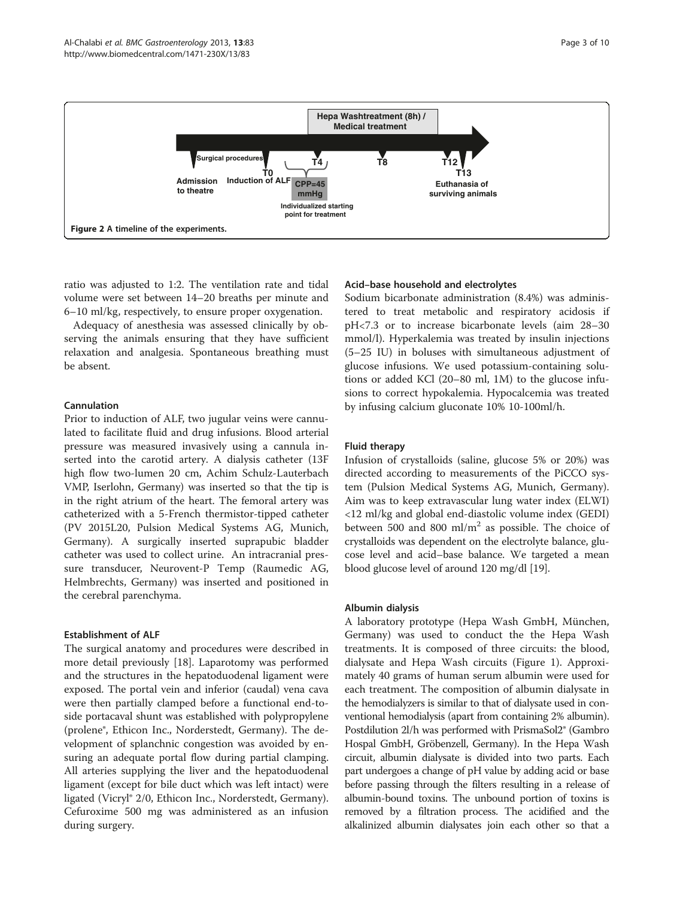<span id="page-2-0"></span>

ratio was adjusted to 1:2. The ventilation rate and tidal volume were set between 14–20 breaths per minute and 6–10 ml/kg, respectively, to ensure proper oxygenation.

Adequacy of anesthesia was assessed clinically by observing the animals ensuring that they have sufficient relaxation and analgesia. Spontaneous breathing must be absent.

#### Cannulation

Prior to induction of ALF, two jugular veins were cannulated to facilitate fluid and drug infusions. Blood arterial pressure was measured invasively using a cannula inserted into the carotid artery. A dialysis catheter (13F high flow two-lumen 20 cm, Achim Schulz-Lauterbach VMP, Iserlohn, Germany) was inserted so that the tip is in the right atrium of the heart. The femoral artery was catheterized with a 5-French thermistor-tipped catheter (PV 2015L20, Pulsion Medical Systems AG, Munich, Germany). A surgically inserted suprapubic bladder catheter was used to collect urine. An intracranial pressure transducer, Neurovent-P Temp (Raumedic AG, Helmbrechts, Germany) was inserted and positioned in the cerebral parenchyma.

#### Establishment of ALF

The surgical anatomy and procedures were described in more detail previously [[18](#page-9-0)]. Laparotomy was performed and the structures in the hepatoduodenal ligament were exposed. The portal vein and inferior (caudal) vena cava were then partially clamped before a functional end-toside portacaval shunt was established with polypropylene (prolene®, Ethicon Inc., Norderstedt, Germany). The development of splanchnic congestion was avoided by ensuring an adequate portal flow during partial clamping. All arteries supplying the liver and the hepatoduodenal ligament (except for bile duct which was left intact) were ligated (Vicryl® 2/0, Ethicon Inc., Norderstedt, Germany). Cefuroxime 500 mg was administered as an infusion during surgery.

#### Acid–base household and electrolytes

Sodium bicarbonate administration (8.4%) was administered to treat metabolic and respiratory acidosis if pH<7.3 or to increase bicarbonate levels (aim 28–30 mmol/l). Hyperkalemia was treated by insulin injections (5–25 IU) in boluses with simultaneous adjustment of glucose infusions. We used potassium-containing solutions or added KCl (20–80 ml, 1M) to the glucose infusions to correct hypokalemia. Hypocalcemia was treated by infusing calcium gluconate 10% 10-100ml/h.

#### Fluid therapy

Infusion of crystalloids (saline, glucose 5% or 20%) was directed according to measurements of the PiCCO system (Pulsion Medical Systems AG, Munich, Germany). Aim was to keep extravascular lung water index (ELWI) <12 ml/kg and global end-diastolic volume index (GEDI) between 500 and 800 ml/m<sup>2</sup> as possible. The choice of crystalloids was dependent on the electrolyte balance, glucose level and acid–base balance. We targeted a mean blood glucose level of around 120 mg/dl [\[19\]](#page-9-0).

#### Albumin dialysis

A laboratory prototype (Hepa Wash GmbH, München, Germany) was used to conduct the the Hepa Wash treatments. It is composed of three circuits: the blood, dialysate and Hepa Wash circuits (Figure [1](#page-1-0)). Approximately 40 grams of human serum albumin were used for each treatment. The composition of albumin dialysate in the hemodialyzers is similar to that of dialysate used in conventional hemodialysis (apart from containing 2% albumin). Postdilution 2l/h was performed with PrismaSol2® (Gambro Hospal GmbH, Gröbenzell, Germany). In the Hepa Wash circuit, albumin dialysate is divided into two parts. Each part undergoes a change of pH value by adding acid or base before passing through the filters resulting in a release of albumin-bound toxins. The unbound portion of toxins is removed by a filtration process. The acidified and the alkalinized albumin dialysates join each other so that a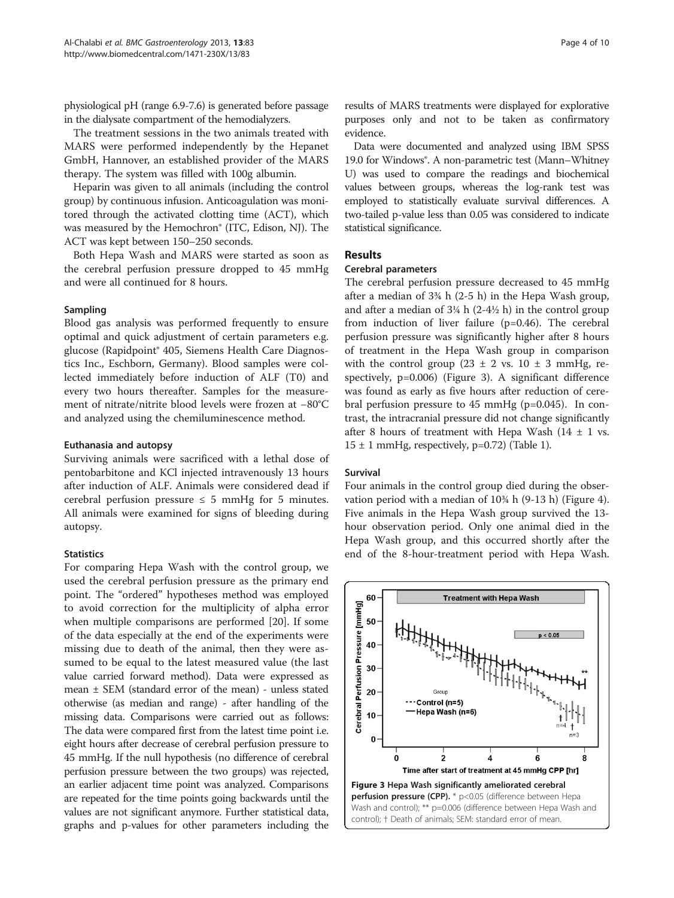<span id="page-3-0"></span>physiological pH (range 6.9-7.6) is generated before passage in the dialysate compartment of the hemodialyzers.

The treatment sessions in the two animals treated with MARS were performed independently by the Hepanet GmbH, Hannover, an established provider of the MARS therapy. The system was filled with 100g albumin.

Heparin was given to all animals (including the control group) by continuous infusion. Anticoagulation was monitored through the activated clotting time (ACT), which was measured by the Hemochron® (ITC, Edison, NJ). The ACT was kept between 150–250 seconds.

Both Hepa Wash and MARS were started as soon as the cerebral perfusion pressure dropped to 45 mmHg and were all continued for 8 hours.

#### Sampling

Blood gas analysis was performed frequently to ensure optimal and quick adjustment of certain parameters e.g. glucose (Rapidpoint® 405, Siemens Health Care Diagnostics Inc., Eschborn, Germany). Blood samples were collected immediately before induction of ALF (T0) and every two hours thereafter. Samples for the measurement of nitrate/nitrite blood levels were frozen at −80°C and analyzed using the chemiluminescence method.

#### Euthanasia and autopsy

Surviving animals were sacrificed with a lethal dose of pentobarbitone and KCl injected intravenously 13 hours after induction of ALF. Animals were considered dead if cerebral perfusion pressure  $\leq 5$  mmHg for 5 minutes. All animals were examined for signs of bleeding during autopsy.

#### **Statistics**

For comparing Hepa Wash with the control group, we used the cerebral perfusion pressure as the primary end point. The "ordered" hypotheses method was employed to avoid correction for the multiplicity of alpha error when multiple comparisons are performed [[20](#page-9-0)]. If some of the data especially at the end of the experiments were missing due to death of the animal, then they were assumed to be equal to the latest measured value (the last value carried forward method). Data were expressed as mean ± SEM (standard error of the mean) - unless stated otherwise (as median and range) - after handling of the missing data. Comparisons were carried out as follows: The data were compared first from the latest time point i.e. eight hours after decrease of cerebral perfusion pressure to 45 mmHg. If the null hypothesis (no difference of cerebral perfusion pressure between the two groups) was rejected, an earlier adjacent time point was analyzed. Comparisons are repeated for the time points going backwards until the values are not significant anymore. Further statistical data, graphs and p-values for other parameters including the

results of MARS treatments were displayed for explorative purposes only and not to be taken as confirmatory evidence.

Data were documented and analyzed using IBM SPSS 19.0 for Windows®. A non-parametric test (Mann–Whitney U) was used to compare the readings and biochemical values between groups, whereas the log-rank test was employed to statistically evaluate survival differences. A two-tailed p-value less than 0.05 was considered to indicate statistical significance.

#### Results

#### Cerebral parameters

The cerebral perfusion pressure decreased to 45 mmHg after a median of  $3\frac{3}{4}$  h (2-5 h) in the Hepa Wash group, and after a median of  $3\frac{1}{4}$  h (2-4 $\frac{1}{2}$  h) in the control group from induction of liver failure (p=0.46). The cerebral perfusion pressure was significantly higher after 8 hours of treatment in the Hepa Wash group in comparison with the control group  $(23 \pm 2 \text{ vs. } 10 \pm 3 \text{ mmHg, re-}$ spectively, p=0.006) (Figure 3). A significant difference was found as early as five hours after reduction of cerebral perfusion pressure to 45 mmHg (p=0.045). In contrast, the intracranial pressure did not change significantly after 8 hours of treatment with Hepa Wash ( $14 \pm 1$  vs.  $15 \pm 1$  $15 \pm 1$  mmHg, respectively, p=0.72) (Table 1).

#### Survival

Four animals in the control group died during the observation period with a median of 10¾ h (9-13 h) (Figure [4](#page-5-0)). Five animals in the Hepa Wash group survived the 13 hour observation period. Only one animal died in the Hepa Wash group, and this occurred shortly after the end of the 8-hour-treatment period with Hepa Wash.

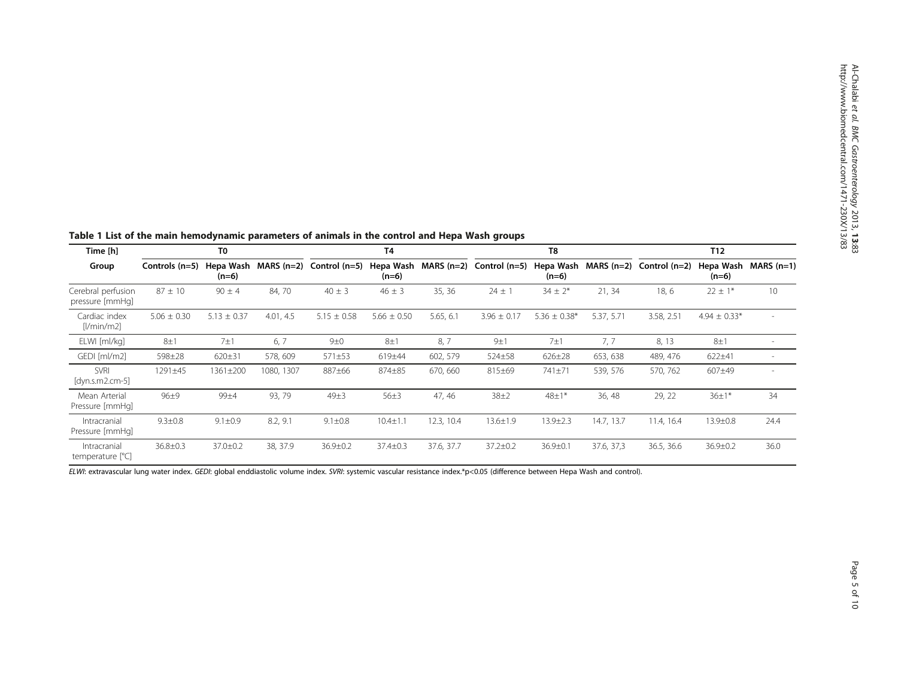<span id="page-4-0"></span>Table 1 List of the main hemodynamic parameters of animals in the control and Hepa Wash groups

| Time [h]<br>Group                     | T0              |                      |             | T <sub>4</sub>  |                      |              |                 | T8                   |              | T <sub>12</sub> |                      |                          |
|---------------------------------------|-----------------|----------------------|-------------|-----------------|----------------------|--------------|-----------------|----------------------|--------------|-----------------|----------------------|--------------------------|
|                                       | Controls (n=5)  | Hepa Wash<br>$(n=6)$ | $MARS(n=2)$ | Control $(n=5)$ | Hepa Wash<br>$(n=6)$ | $MARS$ (n=2) | Control (n=5)   | Hepa Wash<br>$(n=6)$ | $MARS$ (n=2) | Control $(n=2)$ | Hepa Wash<br>$(n=6)$ | $MARS$ (n=1)             |
| Cerebral perfusion<br>pressure [mmHq] | $87 \pm 10$     | $90 \pm 4$           | 84,70       | $40 \pm 3$      | $46 \pm 3$           | 35, 36       | $24 \pm 1$      | $34 \pm 2*$          | 21, 34       | 18,6            | $22 \pm 1*$          | 10                       |
| Cardiac index<br>[1/min/m2]           | $5.06 \pm 0.30$ | $5.13 \pm 0.37$      | 4.01, 4.5   | $5.15 \pm 0.58$ | $5.66 \pm 0.50$      | 5.65, 6.1    | $3.96 \pm 0.17$ | $5.36 \pm 0.38^*$    | 5.37, 5.71   | 3.58, 2.51      | $4.94 \pm 0.33*$     | $\overline{\phantom{a}}$ |
| ELWI [ml/kg]                          | $8\pm1$         | $7\pm1$              | 6, 7        | $9\pm0$         | $8\pm1$              | 8,7          | 9±1             | 7±1                  | 7,7          | 8, 13           | 8±1                  |                          |
| GEDI [ml/m2]                          | 598±28          | 620±31               | 578, 609    | 571±53          | 619±44               | 602, 579     | 524±58          | $626 \pm 28$         | 653, 638     | 489, 476        | $622 + 41$           |                          |
| <b>SVRI</b><br>[dyn.s.m2.cm-5]        | 1291±45         | 1361±200             | 1080, 1307  | 887±66          | 874±85               | 670, 660     | 815±69          | 741±71               | 539, 576     | 570, 762        | 607±49               | $\overline{\phantom{a}}$ |
| Mean Arterial<br>Pressure [mmHq]      | 96±9            | 99±4                 | 93,79       | 49±3            | $56 \pm 3$           | 47, 46       | $38\pm2$        | $48 \pm 1*$          | 36, 48       | 29, 22          | $36 \pm 1*$          | 34                       |
| Intracranial<br>Pressure [mmHq]       | $9.3 \pm 0.8$   | $9.1 \pm 0.9$        | 8.2, 9.1    | $9.1 \pm 0.8$   | $10.4 \pm 1.1$       | 12.3, 10.4   | $13.6 \pm 1.9$  | $13.9 \pm 2.3$       | 14.7, 13.7   | 11.4, 16.4      | $13.9 \pm 0.8$       | 24.4                     |
| Intracranial<br>temperature $[°C]$    | $36.8 \pm 0.3$  | 37.0±0.2             | 38, 37.9    | 36.9±0.2        | 37.4±0.3             | 37.6, 37.7   | 37.2±0.2        | 36.9±0.1             | 37.6, 37, 3  | 36.5, 36.6      | $36.9 \pm 0.2$       | 36.0                     |

ELWI: extravascular lung water index. GEDI: global enddiastolic volume index. SVRI: systemic vascular resistance index.\*p<0.05 (difference between Hepa Wash and control).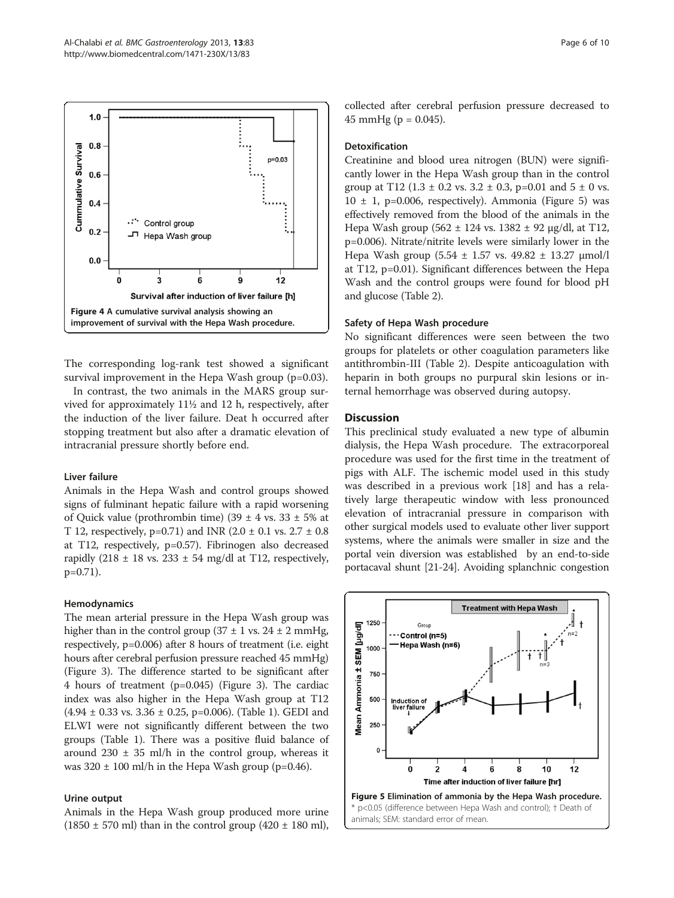<span id="page-5-0"></span>

The corresponding log-rank test showed a significant survival improvement in the Hepa Wash group (p=0.03).

In contrast, the two animals in the MARS group survived for approximately 11½ and 12 h, respectively, after the induction of the liver failure. Deat h occurred after stopping treatment but also after a dramatic elevation of intracranial pressure shortly before end.

#### Liver failure

Animals in the Hepa Wash and control groups showed signs of fulminant hepatic failure with a rapid worsening of Quick value (prothrombin time)  $(39 \pm 4 \text{ vs. } 33 \pm 5\% \text{ at }$ T 12, respectively,  $p=0.71$ ) and INR (2.0  $\pm$  0.1 vs. 2.7  $\pm$  0.8 at T12, respectively, p=0.57). Fibrinogen also decreased rapidly (218  $\pm$  18 vs. 233  $\pm$  54 mg/dl at T12, respectively, p=0.71).

#### Hemodynamics

The mean arterial pressure in the Hepa Wash group was higher than in the control group  $(37 \pm 1 \text{ vs. } 24 \pm 2 \text{ mmHg})$ , respectively, p=0.006) after 8 hours of treatment (i.e. eight hours after cerebral perfusion pressure reached 45 mmHg) (Figure [3](#page-3-0)). The difference started to be significant after 4 hours of treatment (p=0.045) (Figure [3](#page-3-0)). The cardiac index was also higher in the Hepa Wash group at T12  $(4.94 \pm 0.33 \text{ vs. } 3.36 \pm 0.25, \text{ p=0.006}).$  (Table [1](#page-4-0)). GEDI and ELWI were not significantly different between the two groups (Table [1](#page-4-0)). There was a positive fluid balance of around 230  $\pm$  35 ml/h in the control group, whereas it was  $320 \pm 100$  ml/h in the Hepa Wash group (p=0.46).

#### Urine output

Animals in the Hepa Wash group produced more urine (1850  $\pm$  570 ml) than in the control group (420  $\pm$  180 ml), collected after cerebral perfusion pressure decreased to 45 mmHg ( $p = 0.045$ ).

#### Detoxification

Creatinine and blood urea nitrogen (BUN) were significantly lower in the Hepa Wash group than in the control group at T12 (1.3  $\pm$  0.2 vs. 3.2  $\pm$  0.3, p=0.01 and 5  $\pm$  0 vs.  $10 \pm 1$ , p=0.006, respectively). Ammonia (Figure 5) was effectively removed from the blood of the animals in the Hepa Wash group (562 ± 124 vs. 1382 ± 92 μg/dl, at T12, p=0.006). Nitrate/nitrite levels were similarly lower in the Hepa Wash group (5.54 ± 1.57 vs. 49.82 ± 13.27 μmol/l at T12, p=0.01). Significant differences between the Hepa Wash and the control groups were found for blood pH and glucose (Table [2\)](#page-6-0).

#### Safety of Hepa Wash procedure

No significant differences were seen between the two groups for platelets or other coagulation parameters like antithrombin-III (Table [2](#page-6-0)). Despite anticoagulation with heparin in both groups no purpural skin lesions or internal hemorrhage was observed during autopsy.

#### **Discussion**

This preclinical study evaluated a new type of albumin dialysis, the Hepa Wash procedure. The extracorporeal procedure was used for the first time in the treatment of pigs with ALF. The ischemic model used in this study was described in a previous work [\[18\]](#page-9-0) and has a relatively large therapeutic window with less pronounced elevation of intracranial pressure in comparison with other surgical models used to evaluate other liver support systems, where the animals were smaller in size and the portal vein diversion was established by an end-to-side portacaval shunt [\[21-24](#page-9-0)]. Avoiding splanchnic congestion

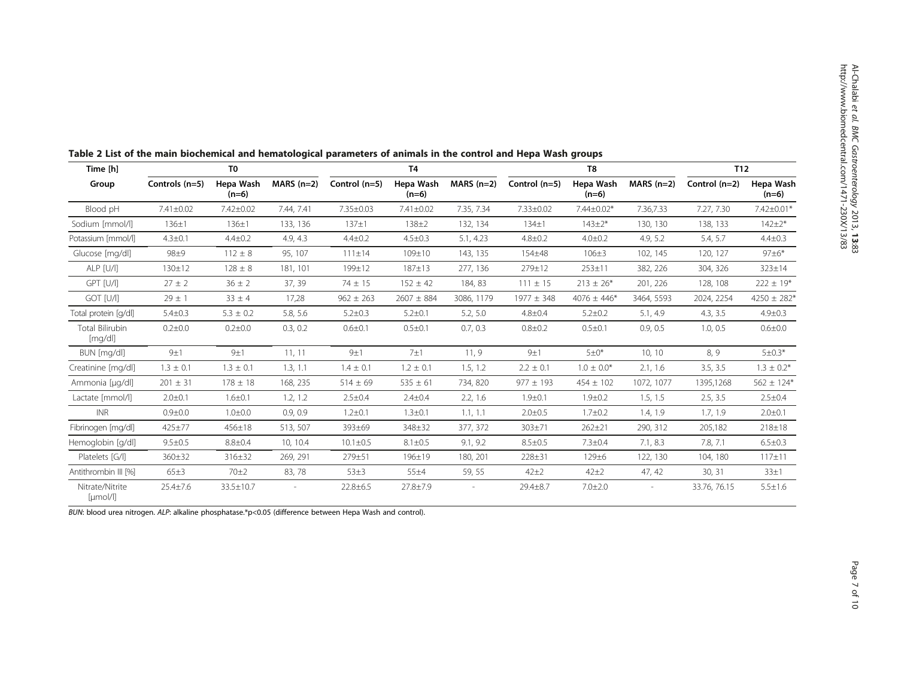| Time [h]<br>Group                 | T0             |                      |                          |                 | T4                   |              |                 | T8                   | T <sub>12</sub> |               |                      |
|-----------------------------------|----------------|----------------------|--------------------------|-----------------|----------------------|--------------|-----------------|----------------------|-----------------|---------------|----------------------|
|                                   | Controls (n=5) | Hepa Wash<br>$(n=6)$ | $MARS(n=2)$              | Control $(n=5)$ | Hepa Wash<br>$(n=6)$ | $MARS$ (n=2) | Control $(n=5)$ | Hepa Wash<br>$(n=6)$ | $MARS$ (n=2)    | Control (n=2) | Hepa Wash<br>$(n=6)$ |
| Blood pH                          | 7.41±0.02      | 7.42±0.02            | 7.44, 7.41               | 7.35±0.03       | 7.41±0.02            | 7.35, 7.34   | 7.33±0.02       | 7.44±0.02*           | 7.36,7.33       | 7.27, 7.30    | 7.42±0.01*           |
| Sodium [mmol/l]                   | $136 \pm 1$    | $136 + 1$            | 133, 136                 | $137 + 1$       | $138 + 2$            | 132, 134     | $134\pm1$       | $143 \pm 2*$         | 130, 130        | 138, 133      | $142 \pm 2*$         |
| Potassium [mmol/l]                | $4.3 \pm 0.1$  | $4.4 \pm 0.2$        | 4.9, 4.3                 | $4.4 + 0.2$     | $4.5 \pm 0.3$        | 5.1, 4.23    | $4.8 \pm 0.2$   | $4.0 \pm 0.2$        | 4.9, 5.2        | 5.4, 5.7      | $4.4 \pm 0.3$        |
| Glucose [mg/dl]                   | 98±9           | $112 \pm 8$          | 95, 107                  | $111 \pm 14$    | $109 + 10$           | 143, 135     | 154±48          | $106 + 3$            | 102, 145        | 120, 127      | $97±6*$              |
| ALP [U/I]                         | $130 \pm 12$   | $128 \pm 8$          | 181, 101                 | 199±12          | $187 + 13$           | 277, 136     | 279±12          | $253 \pm 11$         | 382, 226        | 304, 326      | 323±14               |
| GPT [U/I]                         | $27 \pm 2$     | $36 \pm 2$           | 37, 39                   | $74 \pm 15$     | $152 \pm 42$         | 184, 83      | $111 \pm 15$    | $213 \pm 26*$        | 201, 226        | 128, 108      | $222 \pm 19*$        |
| GOT [U/I]                         | $29 \pm 1$     | $33 \pm 4$           | 17,28                    | $962 \pm 263$   | $2607 \pm 884$       | 3086, 1179   | $1977 \pm 348$  | $4076 \pm 446*$      | 3464, 5593      | 2024, 2254    | $4250 \pm 282*$      |
| Total protein [q/dl]              | $5.4 \pm 0.3$  | $5.3 \pm 0.2$        | 5.8, 5.6                 | $5.2 \pm 0.3$   | $5.2 \pm 0.1$        | 5.2, 5.0     | $4.8 + 0.4$     | $5.2 \pm 0.2$        | 5.1, 4.9        | 4.3, 3.5      | $4.9 \pm 0.3$        |
| <b>Total Bilirubin</b><br>[mq/d]] | $0.2 \pm 0.0$  | $0.2 + 0.0$          | 0.3, 0.2                 | $0.6 + 0.1$     | $0.5 \pm 0.1$        | 0.7, 0.3     | $0.8 + 0.2$     | $0.5 \pm 0.1$        | 0.9, 0.5        | 1.0, 0.5      | $0.6 + 0.0$          |
| BUN [mg/dl]                       | $9\pm1$        | 9±1                  | 11, 11                   | 9±1             | $7\pm1$              | 11, 9        | 9±1             | $5\pm0*$             | 10, 10          | 8, 9          | $5 \pm 0.3*$         |
| Creatinine [mg/dl]                | $1.3 \pm 0.1$  | $1.3 \pm 0.1$        | 1.3, 1.1                 | $1.4 \pm 0.1$   | $1.2 \pm 0.1$        | 1.5, 1.2     | $2.2 \pm 0.1$   | $1.0 \pm 0.0*$       | 2.1, 1.6        | 3.5, 3.5      | $1.3 \pm 0.2*$       |
| Ammonia [µg/dl]                   | $201 \pm 31$   | $178 \pm 18$         | 168, 235                 | $514 \pm 69$    | $535 \pm 61$         | 734, 820     | $977 \pm 193$   | $454 \pm 102$        | 1072, 1077      | 1395,1268     | $562 \pm 124*$       |
| Lactate [mmol/l]                  | $2.0 \pm 0.1$  | $1.6 \pm 0.1$        | 1.2, 1.2                 | $2.5 \pm 0.4$   | $2.4 \pm 0.4$        | 2.2, 1.6     | $1.9 + 0.1$     | $1.9 + 0.2$          | 1.5, 1.5        | 2.5, 3.5      | $2.5 \pm 0.4$        |
| <b>INR</b>                        | $0.9 + 0.0$    | $1.0 + 0.0$          | 0.9, 0.9                 | $1.2 \pm 0.1$   | $1.3 \pm 0.1$        | 1.1, 1.1     | $2.0 \pm 0.5$   | $1.7 + 0.2$          | 1.4, 1.9        | 1.7, 1.9      | $2.0 \pm 0.1$        |
| Fibrinogen [mg/dl]                | $425 \pm 77$   | $456 \pm 18$         | 513, 507                 | 393±69          | 348±32               | 377, 372     | 303±71          | $262 + 21$           | 290, 312        | 205,182       | $218 \pm 18$         |
| Hemoglobin [g/dl]                 | $9.5 \pm 0.5$  | $8.8 + 0.4$          | 10, 10.4                 | $10.1 \pm 0.5$  | $8.1 \pm 0.5$        | 9.1, 9.2     | $8.5 \pm 0.5$   | $7.3 \pm 0.4$        | 7.1, 8.3        | 7.8, 7.1      | $6.5 \pm 0.3$        |
| Platelets [G/I]                   | 360±32         | 316±32               | 269, 291                 | 279±51          | 196±19               | 180, 201     | 228±31          | 129±6                | 122, 130        | 104, 180      | $117 + 11$           |
| Antithrombin III [%]              | 65±3           | 70±2                 | 83,78                    | $53\pm3$        | 55±4                 | 59, 55       | $42\pm2$        | $42\pm2$             | 47, 42          | 30, 31        | 33±1                 |
| Nitrate/Nitrite<br>[µmol/l]       | $25.4 \pm 7.6$ | 33.5±10.7            | $\overline{\phantom{a}}$ | 22.8±6.5        | 27.8±7.9             |              | 29.4±8.7        | $7.0 + 2.0$          |                 | 33.76, 76.15  | $5.5 \pm 1.6$        |

<span id="page-6-0"></span>Table 2 List of the main biochemical and hematological parameters of animals in the control and Hepa Wash groups

BUN: blood urea nitrogen. ALP: alkaline phosphatase.\*p<0.05 (difference between Hepa Wash and control).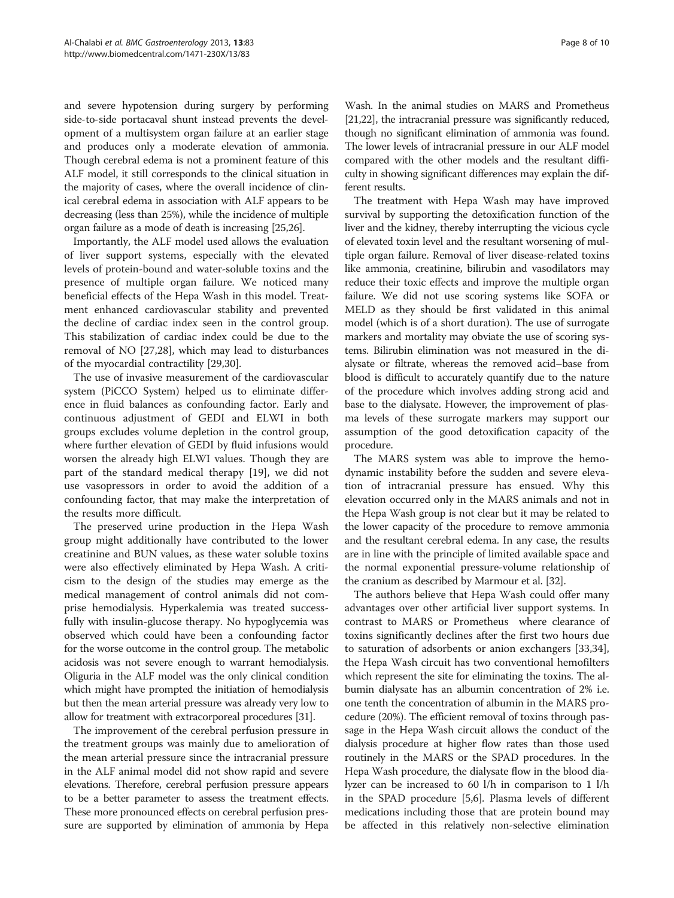and severe hypotension during surgery by performing side-to-side portacaval shunt instead prevents the development of a multisystem organ failure at an earlier stage and produces only a moderate elevation of ammonia. Though cerebral edema is not a prominent feature of this ALF model, it still corresponds to the clinical situation in the majority of cases, where the overall incidence of clinical cerebral edema in association with ALF appears to be decreasing (less than 25%), while the incidence of multiple organ failure as a mode of death is increasing [\[25,26](#page-9-0)].

Importantly, the ALF model used allows the evaluation of liver support systems, especially with the elevated levels of protein-bound and water-soluble toxins and the presence of multiple organ failure. We noticed many beneficial effects of the Hepa Wash in this model. Treatment enhanced cardiovascular stability and prevented the decline of cardiac index seen in the control group. This stabilization of cardiac index could be due to the removal of NO [\[27,28\]](#page-9-0), which may lead to disturbances of the myocardial contractility [\[29,30](#page-9-0)].

The use of invasive measurement of the cardiovascular system (PiCCO System) helped us to eliminate difference in fluid balances as confounding factor. Early and continuous adjustment of GEDI and ELWI in both groups excludes volume depletion in the control group, where further elevation of GEDI by fluid infusions would worsen the already high ELWI values. Though they are part of the standard medical therapy [\[19](#page-9-0)], we did not use vasopressors in order to avoid the addition of a confounding factor, that may make the interpretation of the results more difficult.

The preserved urine production in the Hepa Wash group might additionally have contributed to the lower creatinine and BUN values, as these water soluble toxins were also effectively eliminated by Hepa Wash. A criticism to the design of the studies may emerge as the medical management of control animals did not comprise hemodialysis. Hyperkalemia was treated successfully with insulin-glucose therapy. No hypoglycemia was observed which could have been a confounding factor for the worse outcome in the control group. The metabolic acidosis was not severe enough to warrant hemodialysis. Oliguria in the ALF model was the only clinical condition which might have prompted the initiation of hemodialysis but then the mean arterial pressure was already very low to allow for treatment with extracorporeal procedures [\[31\]](#page-9-0).

The improvement of the cerebral perfusion pressure in the treatment groups was mainly due to amelioration of the mean arterial pressure since the intracranial pressure in the ALF animal model did not show rapid and severe elevations. Therefore, cerebral perfusion pressure appears to be a better parameter to assess the treatment effects. These more pronounced effects on cerebral perfusion pressure are supported by elimination of ammonia by Hepa Wash. In the animal studies on MARS and Prometheus [[21,22\]](#page-9-0), the intracranial pressure was significantly reduced, though no significant elimination of ammonia was found. The lower levels of intracranial pressure in our ALF model compared with the other models and the resultant difficulty in showing significant differences may explain the different results.

The treatment with Hepa Wash may have improved survival by supporting the detoxification function of the liver and the kidney, thereby interrupting the vicious cycle of elevated toxin level and the resultant worsening of multiple organ failure. Removal of liver disease-related toxins like ammonia, creatinine, bilirubin and vasodilators may reduce their toxic effects and improve the multiple organ failure. We did not use scoring systems like SOFA or MELD as they should be first validated in this animal model (which is of a short duration). The use of surrogate markers and mortality may obviate the use of scoring systems. Bilirubin elimination was not measured in the dialysate or filtrate, whereas the removed acid–base from blood is difficult to accurately quantify due to the nature of the procedure which involves adding strong acid and base to the dialysate. However, the improvement of plasma levels of these surrogate markers may support our assumption of the good detoxification capacity of the procedure.

The MARS system was able to improve the hemodynamic instability before the sudden and severe elevation of intracranial pressure has ensued. Why this elevation occurred only in the MARS animals and not in the Hepa Wash group is not clear but it may be related to the lower capacity of the procedure to remove ammonia and the resultant cerebral edema. In any case, the results are in line with the principle of limited available space and the normal exponential pressure-volume relationship of the cranium as described by Marmour et al. [\[32](#page-9-0)].

The authors believe that Hepa Wash could offer many advantages over other artificial liver support systems. In contrast to MARS or Prometheus where clearance of toxins significantly declines after the first two hours due to saturation of adsorbents or anion exchangers [\[33,34](#page-9-0)], the Hepa Wash circuit has two conventional hemofilters which represent the site for eliminating the toxins. The albumin dialysate has an albumin concentration of 2% i.e. one tenth the concentration of albumin in the MARS procedure (20%). The efficient removal of toxins through passage in the Hepa Wash circuit allows the conduct of the dialysis procedure at higher flow rates than those used routinely in the MARS or the SPAD procedures. In the Hepa Wash procedure, the dialysate flow in the blood dialyzer can be increased to 60 l/h in comparison to 1 l/h in the SPAD procedure [\[5,6](#page-8-0)]. Plasma levels of different medications including those that are protein bound may be affected in this relatively non-selective elimination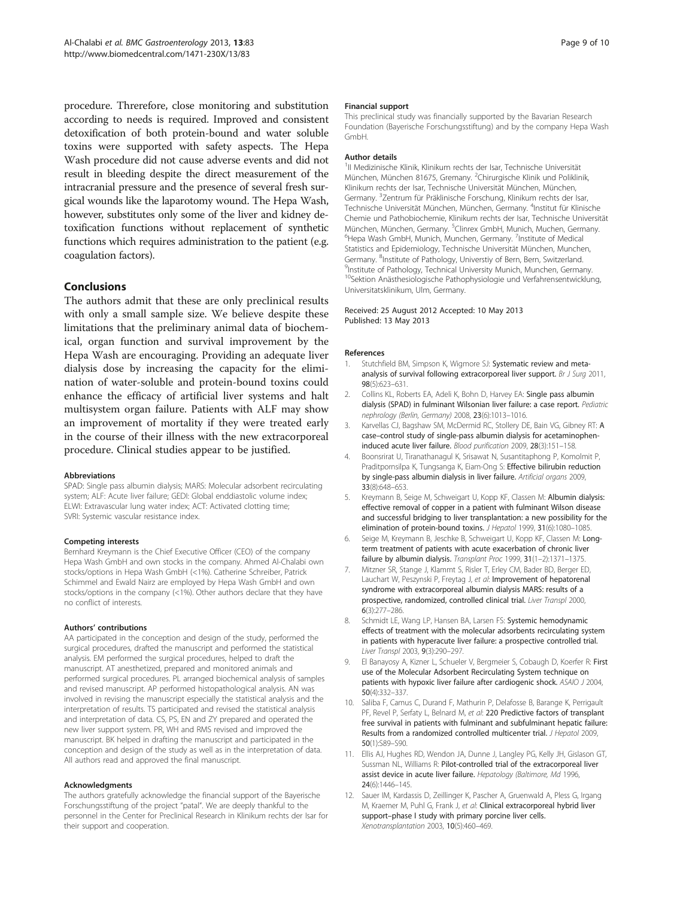<span id="page-8-0"></span>procedure. Threrefore, close monitoring and substitution according to needs is required. Improved and consistent detoxification of both protein-bound and water soluble toxins were supported with safety aspects. The Hepa Wash procedure did not cause adverse events and did not result in bleeding despite the direct measurement of the intracranial pressure and the presence of several fresh surgical wounds like the laparotomy wound. The Hepa Wash, however, substitutes only some of the liver and kidney detoxification functions without replacement of synthetic functions which requires administration to the patient (e.g. coagulation factors).

### Conclusions

The authors admit that these are only preclinical results with only a small sample size. We believe despite these limitations that the preliminary animal data of biochemical, organ function and survival improvement by the Hepa Wash are encouraging. Providing an adequate liver dialysis dose by increasing the capacity for the elimination of water-soluble and protein-bound toxins could enhance the efficacy of artificial liver systems and halt multisystem organ failure. Patients with ALF may show an improvement of mortality if they were treated early in the course of their illness with the new extracorporeal procedure. Clinical studies appear to be justified.

#### Abbreviations

SPAD: Single pass albumin dialysis; MARS: Molecular adsorbent recirculating system; ALF: Acute liver failure; GEDI: Global enddiastolic volume index; ELWI: Extravascular lung water index; ACT: Activated clotting time; SVRI: Systemic vascular resistance index.

#### Competing interests

Bernhard Kreymann is the Chief Executive Officer (CEO) of the company Hepa Wash GmbH and own stocks in the company. Ahmed Al-Chalabi own stocks/options in Hepa Wash GmbH (<1%). Catherine Schreiber, Patrick Schimmel and Ewald Nairz are employed by Hepa Wash GmbH and own stocks/options in the company (<1%). Other authors declare that they have no conflict of interests.

#### Authors' contributions

AA participated in the conception and design of the study, performed the surgical procedures, drafted the manuscript and performed the statistical analysis. EM performed the surgical procedures, helped to draft the manuscript. AT anesthetized, prepared and monitored animals and performed surgical procedures. PL arranged biochemical analysis of samples and revised manuscript. AP performed histopathological analysis. AN was involved in revising the manuscript especially the statistical analysis and the interpretation of results. TS participated and revised the statistical analysis and interpretation of data. CS, PS, EN and ZY prepared and operated the new liver support system. PR, WH and RMS revised and improved the manuscript. BK helped in drafting the manuscript and participated in the conception and design of the study as well as in the interpretation of data. All authors read and approved the final manuscript.

#### Acknowledgments

The authors gratefully acknowledge the financial support of the Bayerische Forschungsstiftung of the project "patal". We are deeply thankful to the personnel in the Center for Preclinical Research in Klinikum rechts der Isar for their support and cooperation.

#### Financial support

This preclinical study was financially supported by the Bavarian Research Foundation (Bayerische Forschungsstiftung) and by the company Hepa Wash GmbH.

#### Author details

<sup>1</sup> II Medizinische Klinik, Klinikum rechts der Isar, Technische Universität München, München 81675, Gremany. <sup>2</sup>Chirurgische Klinik und Poliklinik Klinikum rechts der Isar, Technische Universität München, München, Germany. <sup>3</sup>Zentrum für Präklinische Forschung, Klinikum rechts der Isar, Technische Universität München, München, Germany. <sup>4</sup>Institut für Klinische Chemie und Pathobiochemie, Klinikum rechts der Isar, Technische Universität München, München, Germany. <sup>5</sup>Clinrex GmbH, Munich, Muchen, Germany.<br><sup>6</sup>Hena Wash GmbH, Munich, Munchen, Germany. <sup>7</sup>Institute of Medical Hepa Wash GmbH, Munich, Munchen, Germany. <sup>7</sup>Institute of Medical Statistics and Epidemiology, Technische Universität München, Munchen, Germany. <sup>8</sup>Institute of Pathology, Universtiy of Bern, Bern, Switzerland.<br><sup>9</sup>Institute of Pathology, Technical University Munich, Munchen, Germa <sup>9</sup>Institute of Pathology, Technical University Munich, Munchen, Germany. 10Sektion Anästhesiologische Pathophysiologie und Verfahrensentwicklung, Universitatsklinikum, Ulm, Germany.

#### Received: 25 August 2012 Accepted: 10 May 2013 Published: 13 May 2013

#### References

- 1. Stutchfield BM, Simpson K, Wigmore SJ: Systematic review and metaanalysis of survival following extracorporeal liver support. Br J Surg 2011, 98(5):623–631.
- 2. Collins KL, Roberts EA, Adeli K, Bohn D, Harvey EA: Single pass albumin dialysis (SPAD) in fulminant Wilsonian liver failure: a case report. Pediatric nephrology (Berlin, Germany) 2008, 23(6):1013–1016.
- 3. Karvellas CJ, Bagshaw SM, McDermid RC, Stollery DE, Bain VG, Gibney RT: A case–control study of single-pass albumin dialysis for acetaminopheninduced acute liver failure. Blood purification 2009, 28(3):151–158.
- 4. Boonsrirat U, Tiranathanagul K, Srisawat N, Susantitaphong P, Komolmit P, Praditpornsilpa K, Tungsanga K, Eiam-Ong S: Effective bilirubin reduction by single-pass albumin dialysis in liver failure. Artificial organs 2009, 33(8):648–653.
- 5. Kreymann B, Seige M, Schweigart U, Kopp KF, Classen M: Albumin dialysis: effective removal of copper in a patient with fulminant Wilson disease and successful bridging to liver transplantation: a new possibility for the elimination of protein-bound toxins. J Hepatol 1999, 31(6):1080-1085.
- 6. Seige M, Kreymann B, Jeschke B, Schweigart U, Kopp KF, Classen M: Longterm treatment of patients with acute exacerbation of chronic liver failure by albumin dialysis. Transplant Proc 1999, 31(1–2):1371–1375.
- 7. Mitzner SR, Stange J, Klammt S, Risler T, Erley CM, Bader BD, Berger ED, Lauchart W, Peszynski P, Freytag J, et al: Improvement of hepatorenal syndrome with extracorporeal albumin dialysis MARS: results of a prospective, randomized, controlled clinical trial. Liver Transpl 2000, 6(3):277–286.
- 8. Schmidt LE, Wang LP, Hansen BA, Larsen FS: Systemic hemodynamic effects of treatment with the molecular adsorbents recirculating system in patients with hyperacute liver failure: a prospective controlled trial. Liver Transpl 2003, 9(3):290–297.
- 9. El Banayosy A, Kizner L, Schueler V, Bergmeier S, Cobaugh D, Koerfer R: First use of the Molecular Adsorbent Recirculating System technique on patients with hypoxic liver failure after cardiogenic shock. ASAIO J 2004, 50(4):332–337.
- 10. Saliba F, Camus C, Durand F, Mathurin P, Delafosse B, Barange K, Perrigault PF, Revel P, Serfaty L, Belnard M, et al: 220 Predictive factors of transplant free survival in patients with fulminant and subfulminant hepatic failure: Results from a randomized controlled multicenter trial. J Hepatol 2009, 50(1):S89–S90.
- 11. Ellis AJ, Hughes RD, Wendon JA, Dunne J, Langley PG, Kelly JH, Gislason GT, Sussman NL, Williams R: Pilot-controlled trial of the extracorporeal liver assist device in acute liver failure. Hepatology (Baltimore, Md 1996, 24(6):1446–145.
- 12. Sauer IM, Kardassis D, Zeillinger K, Pascher A, Gruenwald A, Pless G, Irgang M, Kraemer M, Puhl G, Frank J, et al: Clinical extracorporeal hybrid liver support–phase I study with primary porcine liver cells. Xenotransplantation 2003, 10(5):460–469.